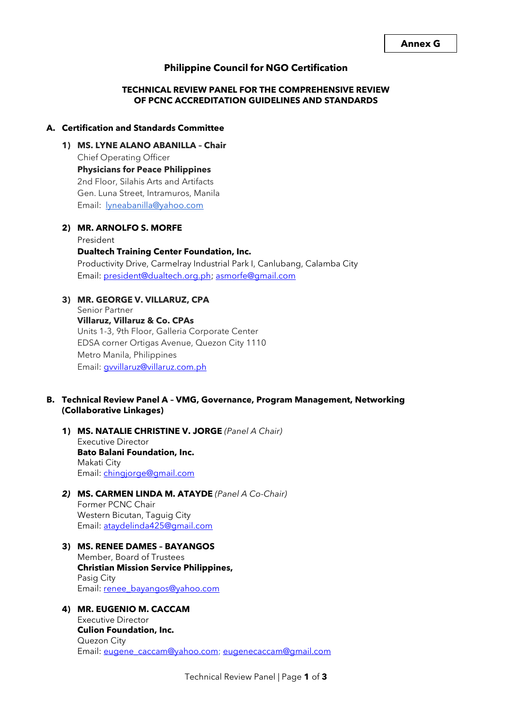# **Philippine Council for NGO Certification**

# **TECHNICAL REVIEW PANEL FOR THE COMPREHENSIVE REVIEW OF PCNC ACCREDITATION GUIDELINES AND STANDARDS**

### **A. Certification and Standards Committee**

**1) MS. LYNE ALANO ABANILLA – Chair**  Chief Operating Officer **Physicians for Peace Philippines** 2nd Floor, Silahis Arts and Artifacts Gen. Luna Street, Intramuros, Manila Email: [lyneabanilla@yahoo.com](mailto:lyneabanilla@yahoo.com)

### **2) MR. ARNOLFO S. MORFE**

President **Dualtech Training Center Foundation, Inc.** Productivity Drive, Carmelray Industrial Park I, Canlubang, Calamba City Email: [president@dualtech.org.ph;](mailto:president@dualtech.org.ph) [asmorfe@gmail.com](mailto:asmorfe@gmail.com)

## **3) MR. GEORGE V. VILLARUZ, CPA**

Senior Partner **Villaruz, Villaruz & Co. CPAs** Units 1-3, 9th Floor, Galleria Corporate Center EDSA corner Ortigas Avenue, Quezon City 1110 Metro Manila, Philippines Email: [gvvillaruz@villaruz.com.ph](mailto:gvvillaruz@villaruz.com.ph)

## **B. Technical Review Panel A – VMG, Governance, Program Management, Networking (Collaborative Linkages)**

**1) MS. NATALIE CHRISTINE V. JORGE** *(Panel A Chair)* Executive Director **Bato Balani Foundation, Inc.**  Makati City Email: [chingjorge@gmail.com](mailto:chingjorge@gmail.com)

## *2)* **MS. CARMEN LINDA M. ATAYDE** *(Panel A Co-Chair)* Former PCNC Chair Western Bicutan, Taguig City Email: [ataydelinda425@gmail.com](mailto:ataydelinda425@gmail.com)

**3) MS. RENEE DAMES – BAYANGOS**  Member, Board of Trustees **Christian Mission Service Philippines,**  Pasig City Email: [renee\\_bayangos@yahoo.com](mailto:renee_bayangos@yahoo.com)

## **4) MR. EUGENIO M. CACCAM**  Executive Director **Culion Foundation, Inc.**  Quezon City Email: [eugene\\_caccam@yahoo.com;](mailto:eugene_caccam@yahoo.com) [eugenecaccam@gmail.com](mailto:eugenecaccam@gmail.com)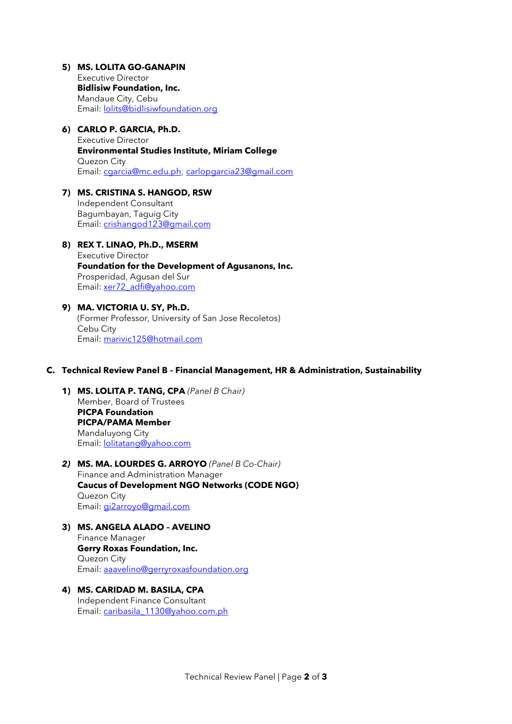# **5) MS. LOLITA GO-GANAPIN**

Executive Director **Bidlisiw Foundation, Inc.**  Mandaue City, Cebu Email: [lolits@bidlisiwfoundation.org](mailto:lolits@bidlisiwfoundation.org)

## **6) CARLO P. GARCIA, Ph.D.**

Executive Director **Environmental Studies Institute, Miriam College**  Quezon City Email: [cgarcia@mc.edu.ph;](mailto:cgarcia@mc.edu.ph) [carlopgarcia23@gmail.com](mailto:carlopgarcia23@gmail.com)

# **7) MS. CRISTINA S. HANGOD, RSW**

Independent Consultant Bagumbayan, Taguig City Email: [crishangod123@gmail.com](mailto:crishangod123@gmail.com)

# **8) REX T. LINAO, Ph.D., MSERM**  Executive Director **Foundation for the Development of Agusanons, Inc.**  Prosperidad, Agusan del Sur Email: [xer72\\_adfi@yahoo.com](mailto:xer72_adfi@yahoo.com)

# **9) MA. VICTORIA U. SY, Ph.D.**  (Former Professor, University of San Jose Recoletos) Cebu City Email: [marivic125@hotmail.com](mailto:marivic125@hotmail.com)

### **C. Technical Review Panel B – Financial Management, HR & Administration, Sustainability**

**1) MS. LOLITA P. TANG, CPA** *(Panel B Chair)* Member, Board of Trustees **PICPA Foundation PICPA/PAMA Member**  Mandaluyong City Email: [lolitatang@yahoo.com](mailto:lolitatang@yahoo.com)

## *2)* **MS. MA. LOURDES G. ARROYO** *(Panel B Co-Chair)* Finance and Administration Manager **Caucus of Development NGO Networks (CODE NGO)**  Quezon City Email: [gi2arroyo@gmail.com](mailto:gi2arroyo@gmail.com)

- **3) MS. ANGELA ALADO – AVELINO**  Finance Manager **Gerry Roxas Foundation, Inc.**  Quezon City Email: [aaavelino@gerryroxasfoundation.org](mailto:aaavelino@gerryroxasfoundation.org)
- **4) MS. CARIDAD M. BASILA, CPA**  Independent Finance Consultant Email: [caribasila\\_1130@yahoo.com.ph](mailto:caribasila_1130@yahoo.com.ph)